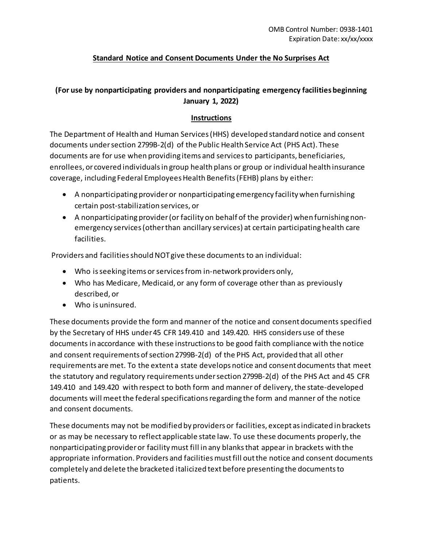### **Standard Notice and Consent Documents Under the No Surprises Act**

### **(For use by nonparticipating providers and nonparticipating emergency facilities beginning January 1, 2022)**

### **Instructions**

The Department of Health and Human Services (HHS) developed standard notice and consent documents under section 2799B-2(d) of the Public Health Service Act (PHS Act). These documents are for use when providing items and services to participants, beneficiaries, enrollees, or covered individuals in group health plans or group or individual health insurance coverage, including Federal Employees Health Benefits (FEHB) plans by either:

- A nonparticipating provider or nonparticipating emergency facility when furnishing certain post-stabilization services, or
- A nonparticipating provider (or facility on behalf of the provider) when furnishing nonemergency services (other than ancillary services) at certain participating health care facilities.

Providers and facilities should NOT give these documents to an individual:

- Who is seeking items or services from in-network providers only,
- Who has Medicare, Medicaid, or any form of coverage other than as previously described, or
- Who is uninsured.

These documents provide the form and manner of the notice and consent documents specified by the Secretary of HHS under 45 CFR 149.410 and 149.420. HHS considers use of these documents in accordance with these instructions to be good faith compliance with the notice and consent requirements of section 2799B-2(d) of the PHS Act, provided that all other requirements are met. To the extent a state develops notice and consent documents that meet the statutory and regulatory requirements under section 2799B-2(d) of the PHS Act and 45 CFR 149.410 and 149.420 with respect to both form and manner of delivery, the state-developed documents will meet the federal specifications regarding the form and manner of the notice and consent documents.

These documents may not be modified by providers or facilities, except as indicated in brackets or as may be necessary to reflect applicable state law. To use these documents properly, the nonparticipating provider or facility must fill in any blanks that appear in brackets with the appropriate information. Providers and facilities must fill out the notice and consent documents completely and delete the bracketed italicized text before presenting the documents to patients.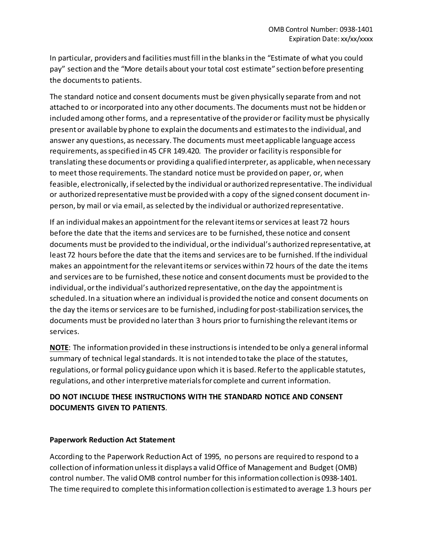In particular, providers and facilities must fill in the blanks in the "Estimate of what you could pay" section and the "More details about your total cost estimate" section before presenting the documents to patients.

The standard notice and consent documents must be given physically separate from and not attached to or incorporated into any other documents. The documents must not be hidden or included among other forms, and a representative of the provider or facility must be physically present or available by phone to explain the documents and estimates to the individual, and answer any questions, as necessary. The documents must meet applicable language access requirements, as specified in 45 CFR 149.420. The provider or facility is responsible for translating these documents or providing a qualified interpreter, as applicable, when necessary to meet those requirements. The standard notice must be provided on paper, or, when feasible, electronically, if selected by the individual or authorized representative. The individual or authorized representative must be provided with a copy of the signed consent document inperson, by mail or via email, as selected by the individual or authorized representative.

If an individual makes an appointment for the relevant items or services at least 72 hours before the date that the items and services are to be furnished, these notice and consent documents must be provided to the individual, or the individual's authorized representative, at least 72 hours before the date that the items and services are to be furnished. If the individual makes an appointment for the relevant items or services within 72 hours of the date the items and services are to be furnished, these notice and consent documents must be provided to the individual, or the individual's authorized representative, on the day the appointment is scheduled. In a situation where an individual is provided the notice and consent documents on the day the items or services are to be furnished, including for post-stabilization services, the documents must be provided no later than 3 hours prior to furnishing the relevant items or services.

**NOTE**: The information provided in these instructions is intended to be only a general informal summary of technical legal standards. It is not intended to take the place of the statutes, regulations, or formal policy guidance upon which it is based. Refer to the applicable statutes, regulations, and other interpretive materials for complete and current information.

### **DO NOT INCLUDE THESE INSTRUCTIONS WITH THE STANDARD NOTICE AND CONSENT DOCUMENTS GIVEN TO PATIENTS**.

#### **Paperwork Reduction Act Statement**

According to the Paperwork Reduction Act of 1995, no persons are required to respond to a collection of information unless it displays a valid Office of Management and Budget (OMB) control number. The valid OMB control number for this information collection is 0938-1401. The time required to complete this information collection is estimated to average 1.3 hours per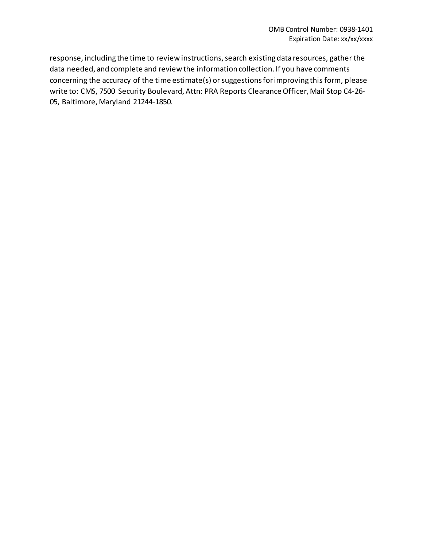response, including the time to review instructions, search existing data resources, gather the data needed, and complete and review the information collection. If you have comments concerning the accuracy of the time estimate(s) or suggestions for improving this form, please write to: CMS, 7500 Security Boulevard, Attn: PRA Reports Clearance Officer, Mail Stop C4-26- 05, Baltimore, Maryland 21244-1850.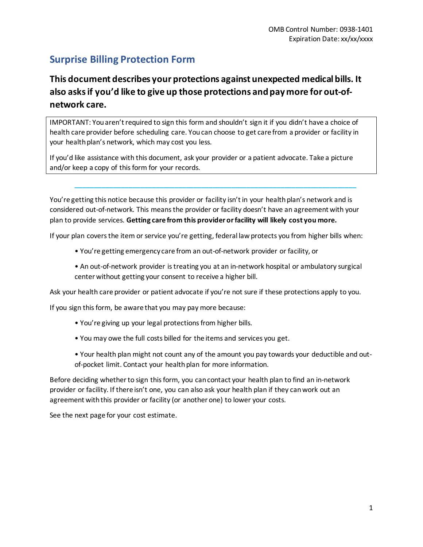# **Surprise Billing Protection Form**

# **This document describes your protections against unexpected medical bills. It also asks if you'd like to give up those protections and pay more for out-ofnetwork care.**

IMPORTANT: You aren't required to sign this form and shouldn't sign it if you didn't have a choice of health care provider before scheduling care. You can choose to get care from a provider or facility in your health plan's network, which may cost you less.

If you'd like assistance with this document, ask your provider or a patient advocate. Take a picture and/or keep a copy of this form for your records.

You're getting this notice because this provider or facility isn't in your health plan's network and is considered out-of-network. This means the provider or facility doesn't have an agreement with your plan to provide services. **Getting care from this provider or facility will likely cost you more.**

**\_\_\_\_\_\_\_\_\_\_\_\_\_\_\_\_\_\_\_\_\_\_\_\_\_\_\_\_\_\_\_\_\_\_\_\_\_\_\_\_\_\_\_\_\_\_\_\_\_\_\_\_\_\_\_\_\_\_\_\_\_\_\_\_\_\_\_\_\_\_\_\_\_\_**

If your plan covers the item or service you're getting, federal law protects you from higher bills when:

- You're getting emergency care from an out-of-network provider or facility, or
- An out-of-network provider is treating you at an in-network hospital or ambulatory surgical center without getting your consent to receive a higher bill.

Ask your health care provider or patient advocate if you're not sure if these protections apply to you.

If you sign this form, be aware that you may pay more because:

- You're giving up your legal protections from higher bills.
- You may owe the full costs billed for the items and services you get.
- Your health plan might not count any of the amount you pay towards your deductible and outof-pocket limit. Contact your health plan for more information.

Before deciding whether to sign this form, you can contact your health plan to find an in-network provider or facility. If there isn't one, you can also ask your health plan if they can work out an agreement with this provider or facility (or another one) to lower your costs.

See the next page for your cost estimate.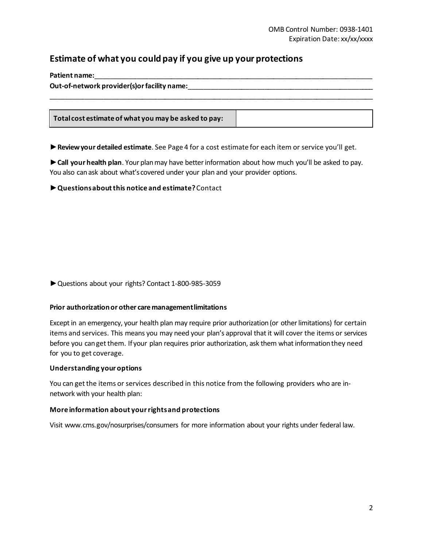## **Estimate of what you could pay if you give up your protections**

| Patient name:                                        |  |  |  |  |
|------------------------------------------------------|--|--|--|--|
| Out-of-network provider(s) or facility name:         |  |  |  |  |
|                                                      |  |  |  |  |
|                                                      |  |  |  |  |
| Total cost estimate of what you may be asked to pay: |  |  |  |  |

►**Review your detailed estimate**. See Page 4 for a cost estimate for each item or service you'll get.

►**Call your health plan**. Your plan may have better information about how much you'll be asked to pay. You also can ask about what's covered under your plan and your provider options.

#### ►**Questions about this notice and estimate?**Contact

►Questions about your rights? Contact 1-800-985-3059

#### **Prior authorizationor other care management limitations**

Except in an emergency, your health plan may require prior authorization (or other limitations) for certain items and services. This means you may need your plan's approval that it will cover the items or services before you can get them. If your plan requires prior authorization, ask them what information they need for you to get coverage.

#### **Understanding your options**

You can get the items or services described in this notice from the following providers who are innetwork with your health plan:

#### **More information about your rights and protections**

Visit www.cms.gov/nosurprises/consumers for more information about your rights under federal law.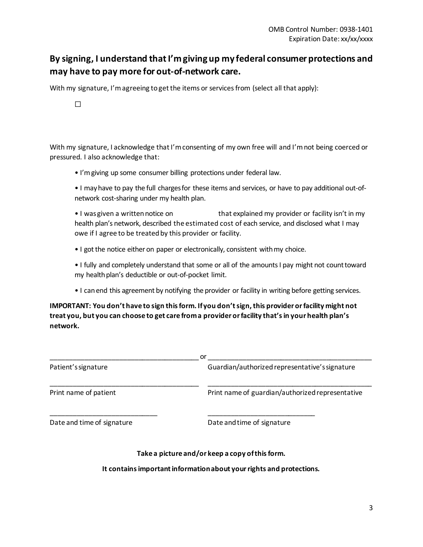## **By signing, I understand that I'm giving up my federal consumer protections and may have to pay more for out-of-network care.**

With my signature, I'm agreeing to get the items or services from (select all that apply):

☐

With my signature, I acknowledge that I'm consenting of my own free will and I'm not being coerced or pressured. I also acknowledge that:

• I'mgiving up some consumer billing protections under federal law.

• I mayhave to pay the full chargesfor these items and services, or have to pay additional out-ofnetwork cost-sharing under my health plan.

• I was given a written notice on that explained my provider or facility isn't in my health plan's network, described the estimated cost of each service, and disclosed what I may owe if I agree to be treated by this provider or facility.

• I got the notice either on paper or electronically, consistent with my choice.

• I fully and completely understand that some or all of the amounts I pay might not count toward my health plan's deductible or out-of-pocket limit.

• I canend this agreement by notifying the provider or facility in writing before getting services.

**IMPORTANT: You don't have to sign this form. Ifyou don't sign, this provider or facility might not treat you, but you can choose to get care from a provider or facility that'sin your health plan's network.**

| or                         |                                                  |  |  |  |
|----------------------------|--------------------------------------------------|--|--|--|
| Patient's signature        | Guardian/authorized representative's signature   |  |  |  |
| Print name of patient      | Print name of guardian/authorized representative |  |  |  |
| Date and time of signature | Date and time of signature                       |  |  |  |

#### **Take a picture and/or keep a copy of this form.**

**It contains important information about your rights and protections.**